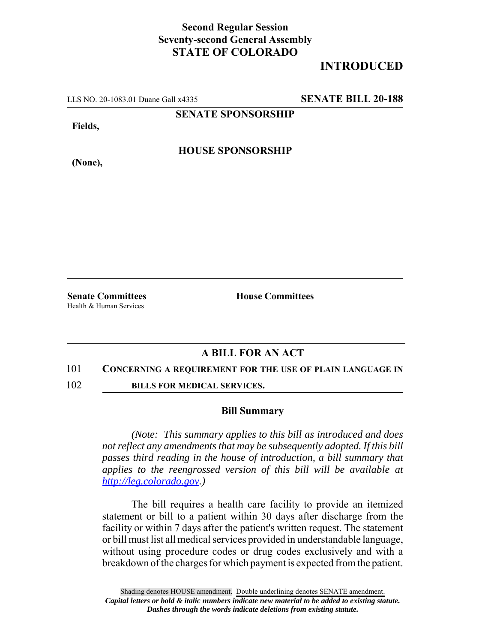## **Second Regular Session Seventy-second General Assembly STATE OF COLORADO**

# **INTRODUCED**

LLS NO. 20-1083.01 Duane Gall x4335 **SENATE BILL 20-188**

**SENATE SPONSORSHIP**

**Fields,**

**HOUSE SPONSORSHIP**

**(None),**

Health & Human Services

**Senate Committees House Committees** 

### **A BILL FOR AN ACT**

#### 101 **CONCERNING A REQUIREMENT FOR THE USE OF PLAIN LANGUAGE IN**

102 **BILLS FOR MEDICAL SERVICES.**

### **Bill Summary**

*(Note: This summary applies to this bill as introduced and does not reflect any amendments that may be subsequently adopted. If this bill passes third reading in the house of introduction, a bill summary that applies to the reengrossed version of this bill will be available at http://leg.colorado.gov.)*

The bill requires a health care facility to provide an itemized statement or bill to a patient within 30 days after discharge from the facility or within 7 days after the patient's written request. The statement or bill must list all medical services provided in understandable language, without using procedure codes or drug codes exclusively and with a breakdown of the charges for which payment is expected from the patient.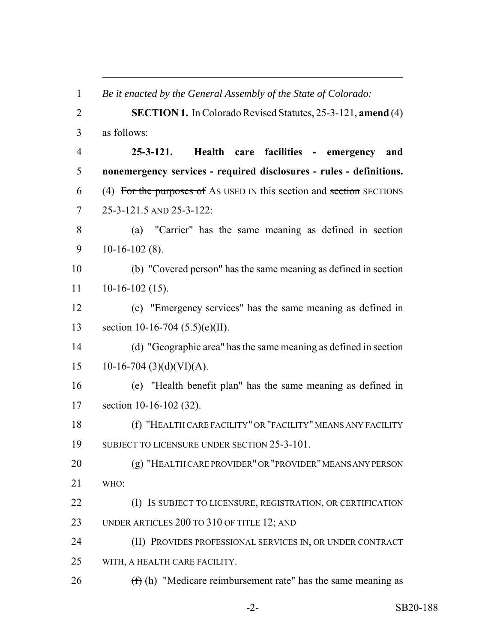*Be it enacted by the General Assembly of the State of Colorado:* **SECTION 1.** In Colorado Revised Statutes, 25-3-121, **amend** (4) as follows: **25-3-121. Health care facilities - emergency and nonemergency services - required disclosures - rules - definitions.** (4) For the purposes of AS USED IN this section and section SECTIONS 25-3-121.5 AND 25-3-122: (a) "Carrier" has the same meaning as defined in section 10-16-102 (8). (b) "Covered person" has the same meaning as defined in section 10-16-102 (15). (c) "Emergency services" has the same meaning as defined in section 10-16-704 (5.5)(e)(II). (d) "Geographic area" has the same meaning as defined in section 15 10-16-704 (3)(d)(VI)(A). (e) "Health benefit plan" has the same meaning as defined in section 10-16-102 (32). (f) "HEALTH CARE FACILITY" OR "FACILITY" MEANS ANY FACILITY 19 SUBJECT TO LICENSURE UNDER SECTION 25-3-101. (g) "HEALTH CARE PROVIDER" OR "PROVIDER" MEANS ANY PERSON WHO: (I) IS SUBJECT TO LICENSURE, REGISTRATION, OR CERTIFICATION UNDER ARTICLES 200 TO 310 OF TITLE 12; AND (II) PROVIDES PROFESSIONAL SERVICES IN, OR UNDER CONTRACT WITH, A HEALTH CARE FACILITY.  $(f)$  (h) "Medicare reimbursement rate" has the same meaning as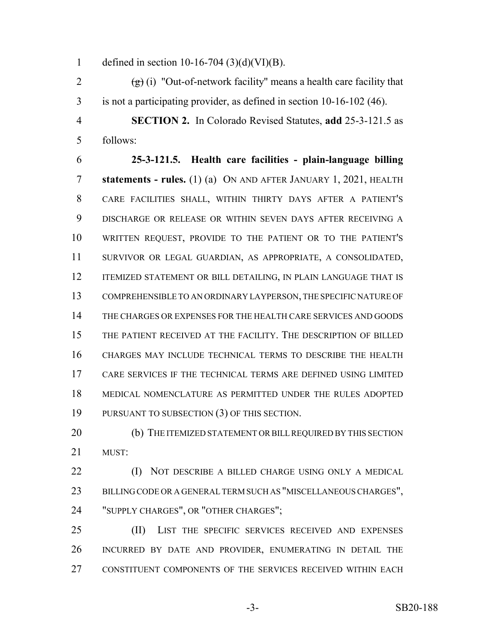1 defined in section 10-16-704  $(3)(d)(VI)(B)$ .

2  $(g)(i)$  "Out-of-network facility" means a health care facility that is not a participating provider, as defined in section 10-16-102 (46).

 **SECTION 2.** In Colorado Revised Statutes, **add** 25-3-121.5 as follows:

 **25-3-121.5. Health care facilities - plain-language billing statements - rules.** (1) (a) ON AND AFTER JANUARY 1, 2021, HEALTH CARE FACILITIES SHALL, WITHIN THIRTY DAYS AFTER A PATIENT'S DISCHARGE OR RELEASE OR WITHIN SEVEN DAYS AFTER RECEIVING A WRITTEN REQUEST, PROVIDE TO THE PATIENT OR TO THE PATIENT'S SURVIVOR OR LEGAL GUARDIAN, AS APPROPRIATE, A CONSOLIDATED, 12 ITEMIZED STATEMENT OR BILL DETAILING, IN PLAIN LANGUAGE THAT IS COMPREHENSIBLE TO AN ORDINARY LAYPERSON, THE SPECIFIC NATURE OF THE CHARGES OR EXPENSES FOR THE HEALTH CARE SERVICES AND GOODS THE PATIENT RECEIVED AT THE FACILITY. THE DESCRIPTION OF BILLED CHARGES MAY INCLUDE TECHNICAL TERMS TO DESCRIBE THE HEALTH CARE SERVICES IF THE TECHNICAL TERMS ARE DEFINED USING LIMITED MEDICAL NOMENCLATURE AS PERMITTED UNDER THE RULES ADOPTED PURSUANT TO SUBSECTION (3) OF THIS SECTION.

20 (b) THE ITEMIZED STATEMENT OR BILL REQUIRED BY THIS SECTION MUST:

 (I) NOT DESCRIBE A BILLED CHARGE USING ONLY A MEDICAL BILLING CODE OR A GENERAL TERM SUCH AS "MISCELLANEOUS CHARGES", "SUPPLY CHARGES", OR "OTHER CHARGES";

 (II) LIST THE SPECIFIC SERVICES RECEIVED AND EXPENSES INCURRED BY DATE AND PROVIDER, ENUMERATING IN DETAIL THE CONSTITUENT COMPONENTS OF THE SERVICES RECEIVED WITHIN EACH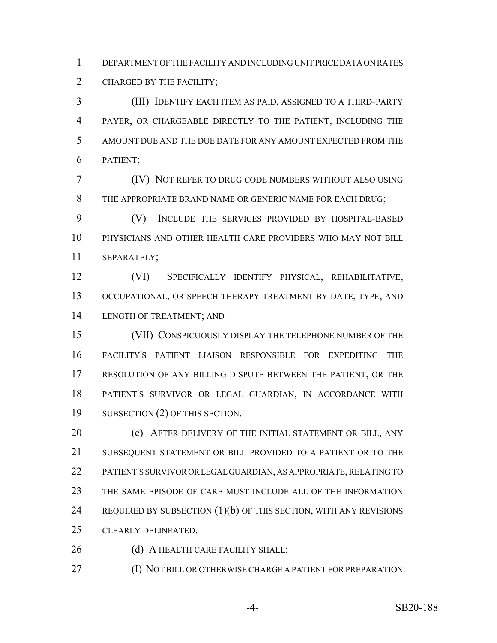DEPARTMENT OF THE FACILITY AND INCLUDING UNIT PRICE DATA ON RATES CHARGED BY THE FACILITY;

 (III) IDENTIFY EACH ITEM AS PAID, ASSIGNED TO A THIRD-PARTY PAYER, OR CHARGEABLE DIRECTLY TO THE PATIENT, INCLUDING THE AMOUNT DUE AND THE DUE DATE FOR ANY AMOUNT EXPECTED FROM THE PATIENT;

 (IV) NOT REFER TO DRUG CODE NUMBERS WITHOUT ALSO USING THE APPROPRIATE BRAND NAME OR GENERIC NAME FOR EACH DRUG;

 (V) INCLUDE THE SERVICES PROVIDED BY HOSPITAL-BASED PHYSICIANS AND OTHER HEALTH CARE PROVIDERS WHO MAY NOT BILL SEPARATELY;

 (VI) SPECIFICALLY IDENTIFY PHYSICAL, REHABILITATIVE, OCCUPATIONAL, OR SPEECH THERAPY TREATMENT BY DATE, TYPE, AND LENGTH OF TREATMENT; AND

 (VII) CONSPICUOUSLY DISPLAY THE TELEPHONE NUMBER OF THE FACILITY'S PATIENT LIAISON RESPONSIBLE FOR EXPEDITING THE RESOLUTION OF ANY BILLING DISPUTE BETWEEN THE PATIENT, OR THE PATIENT'S SURVIVOR OR LEGAL GUARDIAN, IN ACCORDANCE WITH SUBSECTION (2) OF THIS SECTION.

**(c) AFTER DELIVERY OF THE INITIAL STATEMENT OR BILL, ANY**  SUBSEQUENT STATEMENT OR BILL PROVIDED TO A PATIENT OR TO THE PATIENT'S SURVIVOR OR LEGAL GUARDIAN, AS APPROPRIATE, RELATING TO THE SAME EPISODE OF CARE MUST INCLUDE ALL OF THE INFORMATION REQUIRED BY SUBSECTION (1)(b) OF THIS SECTION, WITH ANY REVISIONS CLEARLY DELINEATED.

26 (d) A HEALTH CARE FACILITY SHALL:

(I) NOT BILL OR OTHERWISE CHARGE A PATIENT FOR PREPARATION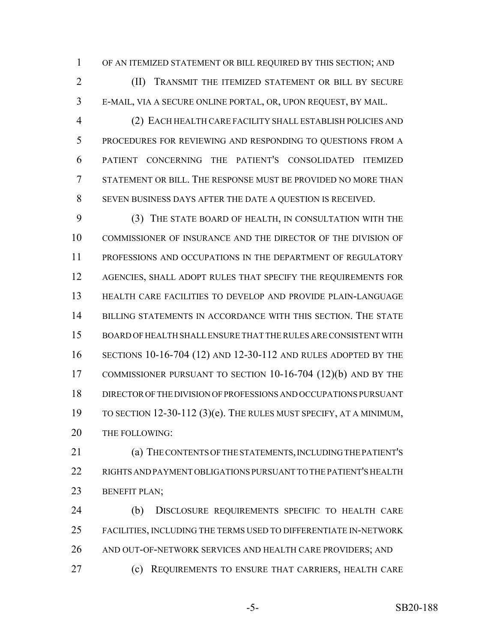OF AN ITEMIZED STATEMENT OR BILL REQUIRED BY THIS SECTION; AND

 (II) TRANSMIT THE ITEMIZED STATEMENT OR BILL BY SECURE E-MAIL, VIA A SECURE ONLINE PORTAL, OR, UPON REQUEST, BY MAIL.

 (2) EACH HEALTH CARE FACILITY SHALL ESTABLISH POLICIES AND PROCEDURES FOR REVIEWING AND RESPONDING TO QUESTIONS FROM A PATIENT CONCERNING THE PATIENT'S CONSOLIDATED ITEMIZED STATEMENT OR BILL. THE RESPONSE MUST BE PROVIDED NO MORE THAN SEVEN BUSINESS DAYS AFTER THE DATE A QUESTION IS RECEIVED.

 (3) THE STATE BOARD OF HEALTH, IN CONSULTATION WITH THE COMMISSIONER OF INSURANCE AND THE DIRECTOR OF THE DIVISION OF PROFESSIONS AND OCCUPATIONS IN THE DEPARTMENT OF REGULATORY AGENCIES, SHALL ADOPT RULES THAT SPECIFY THE REQUIREMENTS FOR HEALTH CARE FACILITIES TO DEVELOP AND PROVIDE PLAIN-LANGUAGE BILLING STATEMENTS IN ACCORDANCE WITH THIS SECTION. THE STATE BOARD OF HEALTH SHALL ENSURE THAT THE RULES ARE CONSISTENT WITH SECTIONS 10-16-704 (12) AND 12-30-112 AND RULES ADOPTED BY THE 17 COMMISSIONER PURSUANT TO SECTION 10-16-704 (12)(b) AND BY THE DIRECTOR OF THE DIVISION OF PROFESSIONS AND OCCUPATIONS PURSUANT TO SECTION 12-30-112 (3)(e). THE RULES MUST SPECIFY, AT A MINIMUM, 20 THE FOLLOWING:

 (a) THE CONTENTS OF THE STATEMENTS, INCLUDING THE PATIENT'S RIGHTS AND PAYMENT OBLIGATIONS PURSUANT TO THE PATIENT'S HEALTH 23 BENEFIT PLAN;

 (b) DISCLOSURE REQUIREMENTS SPECIFIC TO HEALTH CARE FACILITIES, INCLUDING THE TERMS USED TO DIFFERENTIATE IN-NETWORK 26 AND OUT-OF-NETWORK SERVICES AND HEALTH CARE PROVIDERS; AND (c) REQUIREMENTS TO ENSURE THAT CARRIERS, HEALTH CARE